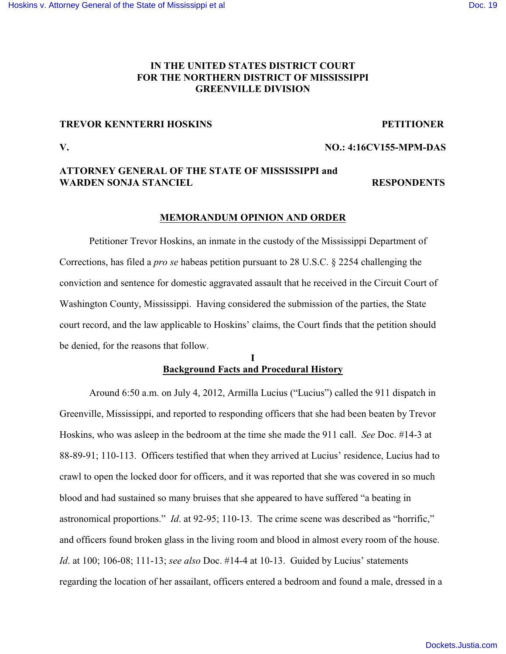## **IN THE UNITED STATES DISTRICT COURT FOR THE NORTHERN DISTRICT OF MISSISSIPPI GREENVILLE DIVISION**

#### **TREVOR KENNTERRI HOSKINS PETITIONER**

#### **V. NO.: 4:16CV155-MPM-DAS**

## **ATTORNEY GENERAL OF THE STATE OF MISSISSIPPI and WARDEN SONJA STANCIEL RESPONDENTS**

#### **MEMORANDUM OPINION AND ORDER**

Petitioner Trevor Hoskins, an inmate in the custody of the Mississippi Department of Corrections, has filed a *pro se* habeas petition pursuant to 28 U.S.C. § 2254 challenging the conviction and sentence for domestic aggravated assault that he received in the Circuit Court of Washington County, Mississippi. Having considered the submission of the parties, the State court record, and the law applicable to Hoskins' claims, the Court finds that the petition should be denied, for the reasons that follow.

## **I Background Facts and Procedural History**

Around 6:50 a.m. on July 4, 2012, Armilla Lucius ("Lucius") called the 911 dispatch in Greenville, Mississippi, and reported to responding officers that she had been beaten by Trevor Hoskins, who was asleep in the bedroom at the time she made the 911 call. *See* Doc. #14-3 at 88-89-91; 110-113. Officers testified that when they arrived at Lucius' residence, Lucius had to crawl to open the locked door for officers, and it was reported that she was covered in so much blood and had sustained so many bruises that she appeared to have suffered "a beating in astronomical proportions." *Id*. at 92-95; 110-13. The crime scene was described as "horrific," and officers found broken glass in the living room and blood in almost every room of the house. *Id*. at 100; 106-08; 111-13; *see also* Doc. #14-4 at 10-13. Guided by Lucius' statements regarding the location of her assailant, officers entered a bedroom and found a male, dressed in a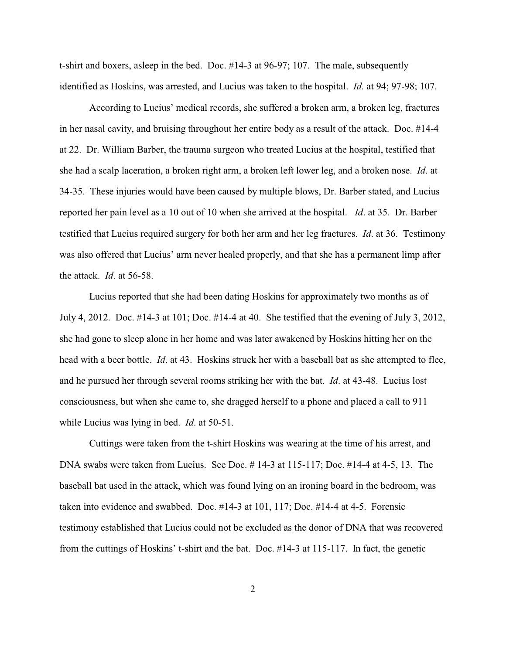t-shirt and boxers, asleep in the bed. Doc. #14-3 at 96-97; 107. The male, subsequently identified as Hoskins, was arrested, and Lucius was taken to the hospital. *Id.* at 94; 97-98; 107.

According to Lucius' medical records, she suffered a broken arm, a broken leg, fractures in her nasal cavity, and bruising throughout her entire body as a result of the attack. Doc. #14-4 at 22. Dr. William Barber, the trauma surgeon who treated Lucius at the hospital, testified that she had a scalp laceration, a broken right arm, a broken left lower leg, and a broken nose. *Id*. at 34-35. These injuries would have been caused by multiple blows, Dr. Barber stated, and Lucius reported her pain level as a 10 out of 10 when she arrived at the hospital. *Id*. at 35. Dr. Barber testified that Lucius required surgery for both her arm and her leg fractures. *Id*. at 36. Testimony was also offered that Lucius' arm never healed properly, and that she has a permanent limp after the attack. *Id*. at 56-58.

Lucius reported that she had been dating Hoskins for approximately two months as of July 4, 2012. Doc. #14-3 at 101; Doc. #14-4 at 40. She testified that the evening of July 3, 2012, she had gone to sleep alone in her home and was later awakened by Hoskins hitting her on the head with a beer bottle. *Id*. at 43. Hoskins struck her with a baseball bat as she attempted to flee, and he pursued her through several rooms striking her with the bat. *Id*. at 43-48. Lucius lost consciousness, but when she came to, she dragged herself to a phone and placed a call to 911 while Lucius was lying in bed. *Id*. at 50-51.

Cuttings were taken from the t-shirt Hoskins was wearing at the time of his arrest, and DNA swabs were taken from Lucius. See Doc. # 14-3 at 115-117; Doc. #14-4 at 4-5, 13. The baseball bat used in the attack, which was found lying on an ironing board in the bedroom, was taken into evidence and swabbed. Doc. #14-3 at 101, 117; Doc. #14-4 at 4-5. Forensic testimony established that Lucius could not be excluded as the donor of DNA that was recovered from the cuttings of Hoskins' t-shirt and the bat. Doc. #14-3 at 115-117. In fact, the genetic

2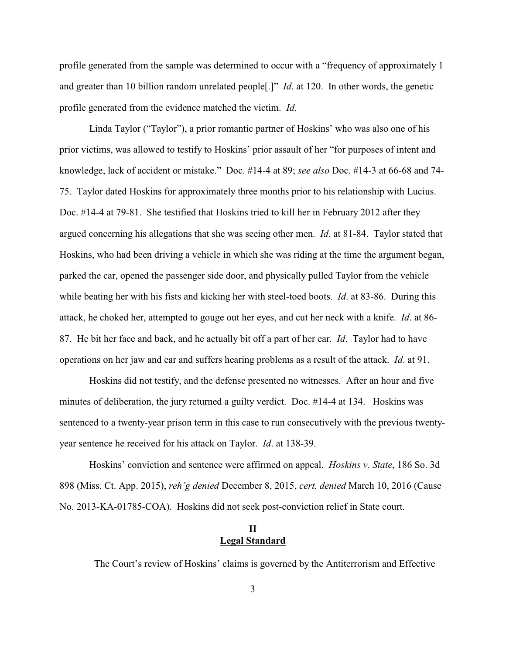profile generated from the sample was determined to occur with a "frequency of approximately 1 and greater than 10 billion random unrelated people[.]" *Id*. at 120. In other words, the genetic profile generated from the evidence matched the victim. *Id*.

Linda Taylor ("Taylor"), a prior romantic partner of Hoskins' who was also one of his prior victims, was allowed to testify to Hoskins' prior assault of her "for purposes of intent and knowledge, lack of accident or mistake." Doc. #14-4 at 89; *see also* Doc. #14-3 at 66-68 and 74- 75. Taylor dated Hoskins for approximately three months prior to his relationship with Lucius. Doc. #14-4 at 79-81. She testified that Hoskins tried to kill her in February 2012 after they argued concerning his allegations that she was seeing other men. *Id*. at 81-84. Taylor stated that Hoskins, who had been driving a vehicle in which she was riding at the time the argument began, parked the car, opened the passenger side door, and physically pulled Taylor from the vehicle while beating her with his fists and kicking her with steel-toed boots. *Id*. at 83-86. During this attack, he choked her, attempted to gouge out her eyes, and cut her neck with a knife. *Id*. at 86- 87. He bit her face and back, and he actually bit off a part of her ear. *Id*. Taylor had to have operations on her jaw and ear and suffers hearing problems as a result of the attack. *Id*. at 91.

Hoskins did not testify, and the defense presented no witnesses. After an hour and five minutes of deliberation, the jury returned a guilty verdict. Doc. #14-4 at 134. Hoskins was sentenced to a twenty-year prison term in this case to run consecutively with the previous twentyyear sentence he received for his attack on Taylor. *Id*. at 138-39.

Hoskins' conviction and sentence were affirmed on appeal. *Hoskins v. State*, 186 So. 3d 898 (Miss. Ct. App. 2015), *reh'g denied* December 8, 2015, *cert. denied* March 10, 2016 (Cause No. 2013-KA-01785-COA). Hoskins did not seek post-conviction relief in State court.

## **II Legal Standard**

The Court's review of Hoskins' claims is governed by the Antiterrorism and Effective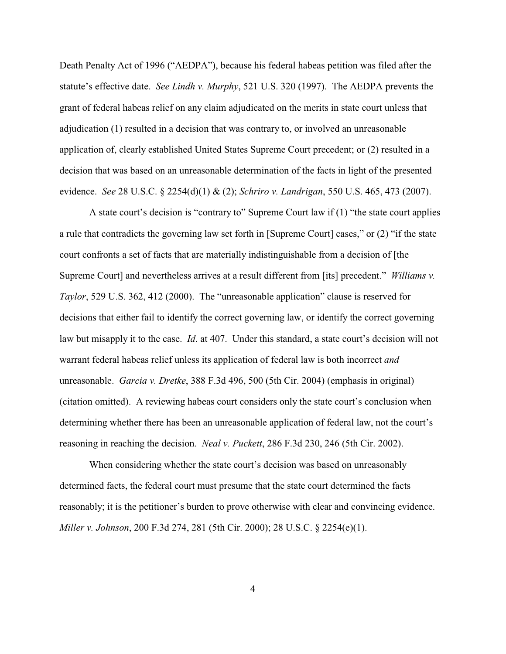Death Penalty Act of 1996 ("AEDPA"), because his federal habeas petition was filed after the statute's effective date. *See Lindh v. Murphy*, 521 U.S. 320 (1997). The AEDPA prevents the grant of federal habeas relief on any claim adjudicated on the merits in state court unless that adjudication (1) resulted in a decision that was contrary to, or involved an unreasonable application of, clearly established United States Supreme Court precedent; or (2) resulted in a decision that was based on an unreasonable determination of the facts in light of the presented evidence. *See* 28 U.S.C. § 2254(d)(1) & (2); *Schriro v. Landrigan*, 550 U.S. 465, 473 (2007).

A state court's decision is "contrary to" Supreme Court law if (1) "the state court applies a rule that contradicts the governing law set forth in [Supreme Court] cases," or (2) "if the state court confronts a set of facts that are materially indistinguishable from a decision of [the Supreme Court] and nevertheless arrives at a result different from [its] precedent." *Williams v. Taylor*, 529 U.S. 362, 412 (2000). The "unreasonable application" clause is reserved for decisions that either fail to identify the correct governing law, or identify the correct governing law but misapply it to the case. *Id*. at 407. Under this standard, a state court's decision will not warrant federal habeas relief unless its application of federal law is both incorrect *and* unreasonable. *Garcia v. Dretke*, 388 F.3d 496, 500 (5th Cir. 2004) (emphasis in original) (citation omitted). A reviewing habeas court considers only the state court's conclusion when determining whether there has been an unreasonable application of federal law, not the court's reasoning in reaching the decision. *Neal v. Puckett*, 286 F.3d 230, 246 (5th Cir. 2002).

When considering whether the state court's decision was based on unreasonably determined facts, the federal court must presume that the state court determined the facts reasonably; it is the petitioner's burden to prove otherwise with clear and convincing evidence. *Miller v. Johnson*, 200 F.3d 274, 281 (5th Cir. 2000); 28 U.S.C. § 2254(e)(1).

4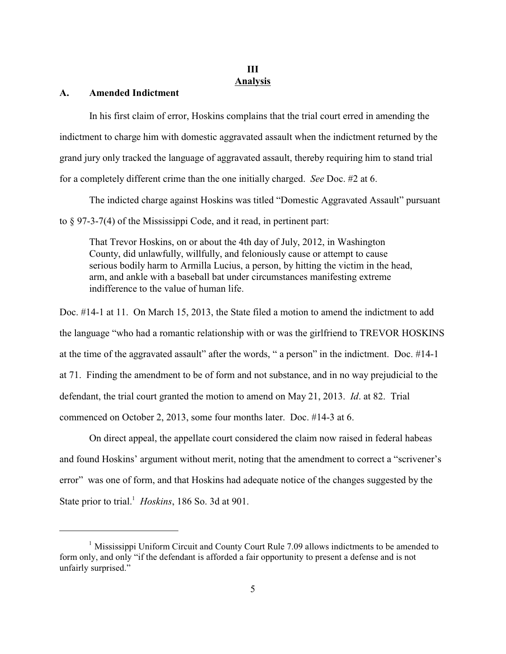# **III Analysis**

### **A. Amended Indictment**

In his first claim of error, Hoskins complains that the trial court erred in amending the indictment to charge him with domestic aggravated assault when the indictment returned by the grand jury only tracked the language of aggravated assault, thereby requiring him to stand trial for a completely different crime than the one initially charged. *See* Doc. #2 at 6.

The indicted charge against Hoskins was titled "Domestic Aggravated Assault" pursuant to § 97-3-7(4) of the Mississippi Code, and it read, in pertinent part:

That Trevor Hoskins, on or about the 4th day of July, 2012, in Washington County, did unlawfully, willfully, and feloniously cause or attempt to cause serious bodily harm to Armilla Lucius, a person, by hitting the victim in the head, arm, and ankle with a baseball bat under circumstances manifesting extreme indifference to the value of human life.

Doc. #14-1 at 11. On March 15, 2013, the State filed a motion to amend the indictment to add the language "who had a romantic relationship with or was the girlfriend to TREVOR HOSKINS at the time of the aggravated assault" after the words, " a person" in the indictment. Doc. #14-1 at 71. Finding the amendment to be of form and not substance, and in no way prejudicial to the defendant, the trial court granted the motion to amend on May 21, 2013. *Id*. at 82. Trial commenced on October 2, 2013, some four months later. Doc. #14-3 at 6.

On direct appeal, the appellate court considered the claim now raised in federal habeas and found Hoskins' argument without merit, noting that the amendment to correct a "scrivener's error" was one of form, and that Hoskins had adequate notice of the changes suggested by the State prior to trial.<sup>1</sup> *Hoskins*, 186 So. 3d at 901.

 $<sup>1</sup>$  Mississippi Uniform Circuit and County Court Rule 7.09 allows indictments to be amended to</sup> form only, and only "if the defendant is afforded a fair opportunity to present a defense and is not unfairly surprised."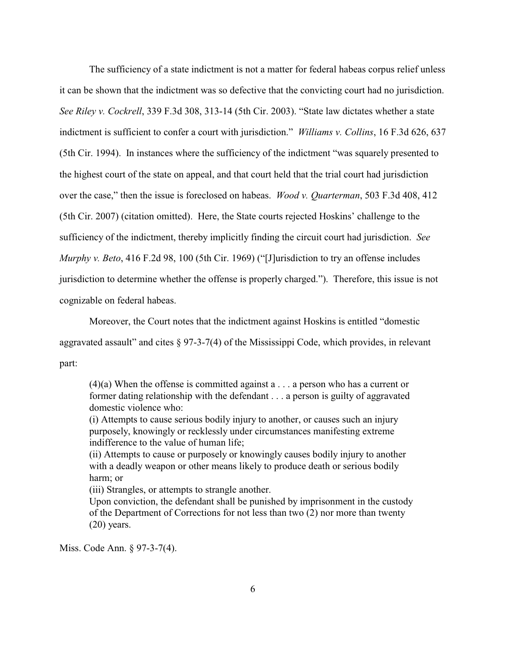The sufficiency of a state indictment is not a matter for federal habeas corpus relief unless it can be shown that the indictment was so defective that the convicting court had no jurisdiction. *See Riley v. Cockrell*, 339 F.3d 308, 313-14 (5th Cir. 2003). "State law dictates whether a state indictment is sufficient to confer a court with jurisdiction." *Williams v. Collins*, 16 F.3d 626, 637 (5th Cir. 1994). In instances where the sufficiency of the indictment "was squarely presented to the highest court of the state on appeal, and that court held that the trial court had jurisdiction over the case," then the issue is foreclosed on habeas. *Wood v. Quarterman*, 503 F.3d 408, 412 (5th Cir. 2007) (citation omitted). Here, the State courts rejected Hoskins' challenge to the sufficiency of the indictment, thereby implicitly finding the circuit court had jurisdiction. *See Murphy v. Beto*, 416 F.2d 98, 100 (5th Cir. 1969) ("[J]urisdiction to try an offense includes jurisdiction to determine whether the offense is properly charged."). Therefore, this issue is not cognizable on federal habeas.

Moreover, the Court notes that the indictment against Hoskins is entitled "domestic aggravated assault" and cites  $\S 97-3-7(4)$  of the Mississippi Code, which provides, in relevant part:

 $(4)(a)$  When the offense is committed against a . . . a person who has a current or former dating relationship with the defendant . . . a person is guilty of aggravated domestic violence who:

(i) Attempts to cause serious bodily injury to another, or causes such an injury purposely, knowingly or recklessly under circumstances manifesting extreme indifference to the value of human life;

(ii) Attempts to cause or purposely or knowingly causes bodily injury to another with a deadly weapon or other means likely to produce death or serious bodily harm; or

(iii) Strangles, or attempts to strangle another.

Upon conviction, the defendant shall be punished by imprisonment in the custody of the Department of Corrections for not less than two (2) nor more than twenty  $(20)$  years.

Miss. Code Ann. § 97-3-7(4).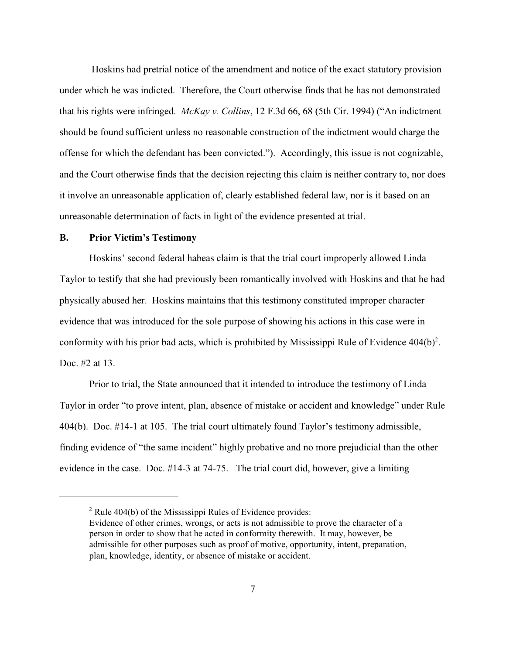Hoskins had pretrial notice of the amendment and notice of the exact statutory provision under which he was indicted. Therefore, the Court otherwise finds that he has not demonstrated that his rights were infringed. *McKay v. Collins*, 12 F.3d 66, 68 (5th Cir. 1994) ("An indictment should be found sufficient unless no reasonable construction of the indictment would charge the offense for which the defendant has been convicted."). Accordingly, this issue is not cognizable, and the Court otherwise finds that the decision rejecting this claim is neither contrary to, nor does it involve an unreasonable application of, clearly established federal law, nor is it based on an unreasonable determination of facts in light of the evidence presented at trial.

#### **B. Prior Victim's Testimony**

Hoskins' second federal habeas claim is that the trial court improperly allowed Linda Taylor to testify that she had previously been romantically involved with Hoskins and that he had physically abused her. Hoskins maintains that this testimony constituted improper character evidence that was introduced for the sole purpose of showing his actions in this case were in conformity with his prior bad acts, which is prohibited by Mississippi Rule of Evidence  $404(b)^2$ . Doc. #2 at 13.

Prior to trial, the State announced that it intended to introduce the testimony of Linda Taylor in order "to prove intent, plan, absence of mistake or accident and knowledge" under Rule 404(b). Doc. #14-1 at 105. The trial court ultimately found Taylor's testimony admissible, finding evidence of "the same incident" highly probative and no more prejudicial than the other evidence in the case. Doc. #14-3 at 74-75. The trial court did, however, give a limiting

 $2$  Rule 404(b) of the Mississippi Rules of Evidence provides:

Evidence of other crimes, wrongs, or acts is not admissible to prove the character of a person in order to show that he acted in conformity therewith. It may, however, be admissible for other purposes such as proof of motive, opportunity, intent, preparation, plan, knowledge, identity, or absence of mistake or accident.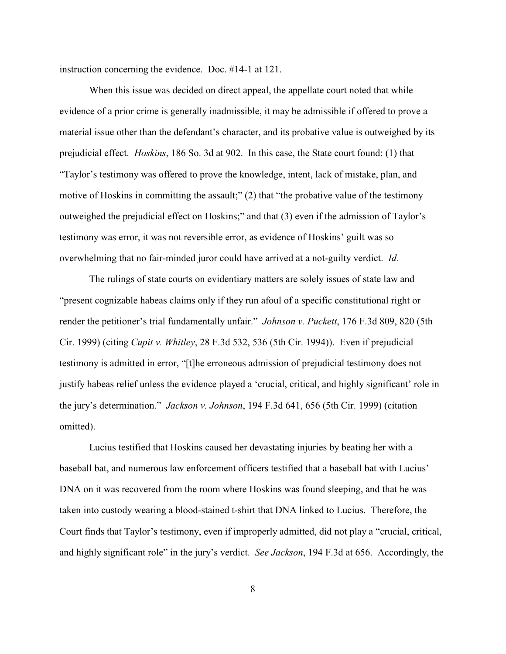instruction concerning the evidence. Doc. #14-1 at 121.

When this issue was decided on direct appeal, the appellate court noted that while evidence of a prior crime is generally inadmissible, it may be admissible if offered to prove a material issue other than the defendant's character, and its probative value is outweighed by its prejudicial effect. *Hoskins*, 186 So. 3d at 902. In this case, the State court found: (1) that "Taylor's testimony was offered to prove the knowledge, intent, lack of mistake, plan, and motive of Hoskins in committing the assault;" (2) that "the probative value of the testimony outweighed the prejudicial effect on Hoskins;" and that (3) even if the admission of Taylor's testimony was error, it was not reversible error, as evidence of Hoskins' guilt was so overwhelming that no fair-minded juror could have arrived at a not-guilty verdict. *Id.* 

The rulings of state courts on evidentiary matters are solely issues of state law and "present cognizable habeas claims only if they run afoul of a specific constitutional right or render the petitioner's trial fundamentally unfair." *Johnson v. Puckett*, 176 F.3d 809, 820 (5th Cir. 1999) (citing *Cupit v. Whitley*, 28 F.3d 532, 536 (5th Cir. 1994)). Even if prejudicial testimony is admitted in error, "[t]he erroneous admission of prejudicial testimony does not justify habeas relief unless the evidence played a 'crucial, critical, and highly significant' role in the jury's determination." *Jackson v. Johnson*, 194 F.3d 641, 656 (5th Cir. 1999) (citation omitted).

Lucius testified that Hoskins caused her devastating injuries by beating her with a baseball bat, and numerous law enforcement officers testified that a baseball bat with Lucius' DNA on it was recovered from the room where Hoskins was found sleeping, and that he was taken into custody wearing a blood-stained t-shirt that DNA linked to Lucius. Therefore, the Court finds that Taylor's testimony, even if improperly admitted, did not play a "crucial, critical, and highly significant role" in the jury's verdict. *See Jackson*, 194 F.3d at 656. Accordingly, the

8